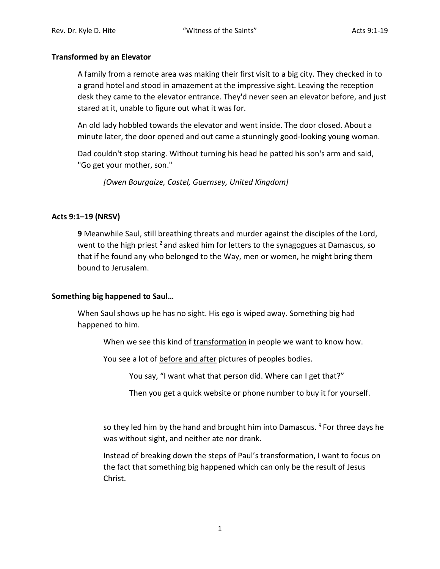## **Transformed by an Elevator**

A family from a remote area was making their first visit to a big city. They checked in to a grand hotel and stood in amazement at the impressive sight. Leaving the reception desk they came to the elevator entrance. They'd never seen an elevator before, and just stared at it, unable to figure out what it was for.

An old lady hobbled towards the elevator and went inside. The door closed. About a minute later, the door opened and out came a stunningly good-looking young woman.

Dad couldn't stop staring. Without turning his head he patted his son's arm and said, "Go get your mother, son."

*[Owen Bourgaize, Castel, Guernsey, United Kingdom]*

# **Acts 9:1–19 (NRSV)**

**9** Meanwhile Saul, still breathing threats and murder against the disciples of the Lord, went to the high priest  $2$  and asked him for letters to the synagogues at Damascus, so that if he found any who belonged to the Way, men or women, he might bring them bound to Jerusalem.

## **Something big happened to Saul…**

When Saul shows up he has no sight. His ego is wiped away. Something big had happened to him.

When we see this kind of transformation in people we want to know how.

You see a lot of before and after pictures of peoples bodies.

You say, "I want what that person did. Where can I get that?"

Then you get a quick website or phone number to buy it for yourself.

so they led him by the hand and brought him into Damascus.  $9$  For three days he was without sight, and neither ate nor drank.

Instead of breaking down the steps of Paul's transformation, I want to focus on the fact that something big happened which can only be the result of Jesus Christ.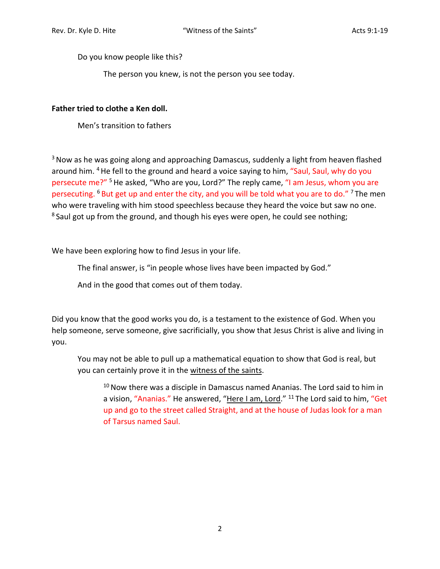Do you know people like this?

The person you knew, is not the person you see today.

# **Father tried to clothe a Ken doll.**

Men's transition to fathers

<sup>3</sup> Now as he was going along and approaching Damascus, suddenly a light from heaven flashed around him. <sup>4</sup> He fell to the ground and heard a voice saying to him, "Saul, Saul, why do you persecute me?" 5He asked, "Who are you, Lord?" The reply came, "I am Jesus, whom you are persecuting. <sup>6</sup> But get up and enter the city, and you will be told what you are to do." <sup>7</sup> The men who were traveling with him stood speechless because they heard the voice but saw no one. <sup>8</sup> Saul got up from the ground, and though his eyes were open, he could see nothing;

We have been exploring how to find Jesus in your life.

The final answer, is "in people whose lives have been impacted by God."

And in the good that comes out of them today.

Did you know that the good works you do, is a testament to the existence of God. When you help someone, serve someone, give sacrificially, you show that Jesus Christ is alive and living in you.

You may not be able to pull up a mathematical equation to show that God is real, but you can certainly prove it in the witness of the saints.

 $10$  Now there was a disciple in Damascus named Ananias. The Lord said to him in a vision, "Ananias." He answered, "Here I am, Lord." <sup>11</sup> The Lord said to him, "Get up and go to the street called Straight, and at the house of Judas look for a man of Tarsus named Saul.